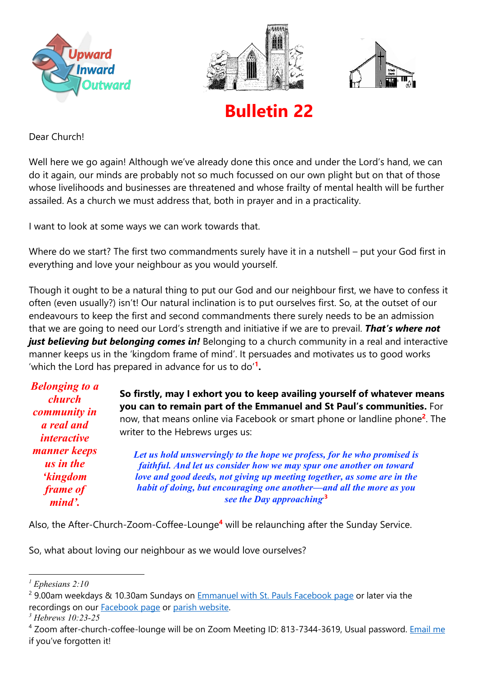





**Bulletin 22**

Dear Church!

Well here we go again! Although we've already done this once and under the Lord's hand, we can do it again, our minds are probably not so much focussed on our own plight but on that of those whose livelihoods and businesses are threatened and whose frailty of mental health will be further assailed. As a church we must address that, both in prayer and in a practicality.

I want to look at some ways we can work towards that.

Where do we start? The first two commandments surely have it in a nutshell – put your God first in everything and love your neighbour as you would yourself.

Though it ought to be a natural thing to put our God and our neighbour first, we have to confess it often (even usually?) isn't! Our natural inclination is to put ourselves first. So, at the outset of our endeavours to keep the first and second commandments there surely needs to be an admission that we are going to need our Lord's strength and initiative if we are to prevail. *That's where not just believing but belonging comes in!* Belonging to a church community in a real and interactive manner keeps us in the 'kingdom frame of mind'. It persuades and motivates us to good works 'which the Lord has prepared in advance for us to do'**<sup>1</sup> .**

| <b>Belonging to a</b><br><b>church</b><br>community in<br><i>a</i> real and<br><i>interactive</i> | So firstly, may I exhort you to keep availing yourself of whatever means<br>you can to remain part of the Emmanuel and St Paul's communities. For<br>now, that means online via Facebook or smart phone or landline phone <sup>2</sup> . The<br>writer to the Hebrews urges us: |
|---------------------------------------------------------------------------------------------------|---------------------------------------------------------------------------------------------------------------------------------------------------------------------------------------------------------------------------------------------------------------------------------|
| manner keeps                                                                                      | Let us hold unswervingly to the hope we profess, for he who promised is                                                                                                                                                                                                         |
| us in the                                                                                         | faithful. And let us consider how we may spur one another on toward                                                                                                                                                                                                             |
| <i>kingdom</i>                                                                                    | love and good deeds, not giving up meeting together, as some are in the                                                                                                                                                                                                         |
| frame of                                                                                          | habit of doing, but encouraging one another-and all the more as you                                                                                                                                                                                                             |
| mind'.                                                                                            | see the Day approaching <sup>3</sup>                                                                                                                                                                                                                                            |

Also, the After-Church-Zoom-Coffee-Lounge**<sup>4</sup>** will be relaunching after the Sunday Service.

So, what about loving our neighbour as we would love ourselves?

*<sup>1</sup> Ephesians 2:10*

<sup>&</sup>lt;sup>2</sup> 9.00am weekdays & 10.30am Sundays on [Emmanuel with St. Pauls Facebook page](https://www.facebook.com/emmanuelwithstpauls) or later via the recordings on our [Facebook page](https://www.facebook.com/emmanuelwithstpauls) or [parish website.](https://emmanuelplymouth.co.uk/) 

*<sup>3</sup> Hebrews 10:23-25*

<sup>&</sup>lt;sup>4</sup> Zoom after-church-coffee-lounge will be on Zoom Meeting ID: 813-7344-3619, Usual password. [Email me](mailto:karl.freeman@emmanuelplymouth.co.uk) if you've forgotten it!